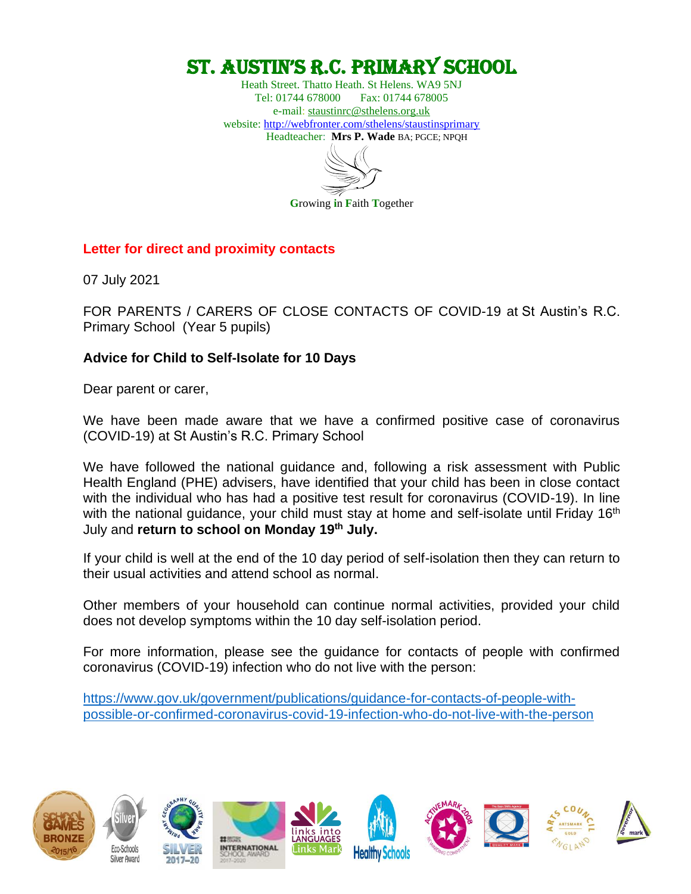# St. AuStin'S R.C. PRimARy SChool

Heath Street. Thatto Heath. St Helens. WA9 5NJ Tel: 01744 678000 Fax: 01744 678005 e-mail: [staustinrc@sthelens.org.uk](mailto:staustinrc@sthelens.org.uk) website:<http://webfronter.com/sthelens/staustinsprimary> Headteacher: **Mrs P. Wade** BA; PGCE; NPQH

**G**rowing **i**n **F**aith **T**ogether

**Letter for direct and proximity contacts**

07 July 2021

FOR PARENTS / CARERS OF CLOSE CONTACTS OF COVID-19 at St Austin's R.C. Primary School (Year 5 pupils)

### **Advice for Child to Self-Isolate for 10 Days**

Dear parent or carer,

We have been made aware that we have a confirmed positive case of coronavirus (COVID-19) at St Austin's R.C. Primary School

We have followed the national guidance and, following a risk assessment with Public Health England (PHE) advisers, have identified that your child has been in close contact with the individual who has had a positive test result for coronavirus (COVID-19). In line with the national guidance, your child must stay at home and self-isolate until Friday 16<sup>th</sup> July and **return to school on Monday 19th July.**

If your child is well at the end of the 10 day period of self-isolation then they can return to their usual activities and attend school as normal.

Other members of your household can continue normal activities, provided your child does not develop symptoms within the 10 day self-isolation period.

For more information, please see the guidance for contacts of people with confirmed coronavirus (COVID-19) infection who do not live with the person:

[https://www.gov.uk/government/publications/guidance-for-contacts-of-people-with](https://www.gov.uk/government/publications/guidance-for-contacts-of-people-with-possible-or-confirmed-coronavirus-covid-19-infection-who-do-not-live-with-the-person)[possible-or-confirmed-coronavirus-covid-19-infection-who-do-not-live-with-the-person](https://www.gov.uk/government/publications/guidance-for-contacts-of-people-with-possible-or-confirmed-coronavirus-covid-19-infection-who-do-not-live-with-the-person)

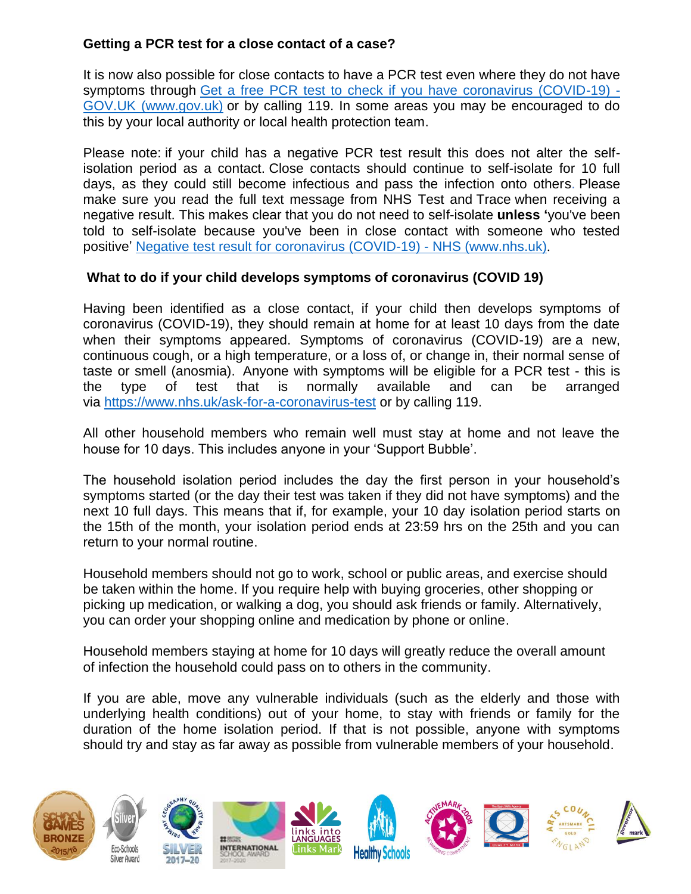### **Getting a PCR test for a close contact of a case?**

It is now also possible for close contacts to have a PCR test even where they do not have symptoms through [Get a free PCR test to check if you have coronavirus \(COVID-19\)](https://www.gov.uk/get-coronavirus-test?priority-taxon=774cee22-d896-44c1-a611-e3109cce8eae) - [GOV.UK \(www.gov.uk\)](https://www.gov.uk/get-coronavirus-test?priority-taxon=774cee22-d896-44c1-a611-e3109cce8eae) or by calling 119. In some areas you may be encouraged to do this by your local authority or local health protection team.

Please note: if your child has a negative PCR test result this does not alter the selfisolation period as a contact. Close contacts should continue to self-isolate for 10 full days, as they could still become infectious and pass the infection onto others. Please make sure you read the full text message from NHS Test and Trace when receiving a negative result. This makes clear that you do not need to self-isolate **unless '**you've been told to self-isolate because you've been in close contact with someone who tested positive' [Negative test result for coronavirus \(COVID-19\) -](https://www.nhs.uk/conditions/coronavirus-covid-19/testing/test-results/negative-test-result/) NHS (www.nhs.uk).

### **What to do if your child develops symptoms of coronavirus (COVID 19)**

Having been identified as a close contact, if your child then develops symptoms of coronavirus (COVID-19), they should remain at home for at least 10 days from the date when their symptoms appeared. Symptoms of coronavirus (COVID-19) are a new, continuous cough, or a high temperature, or a loss of, or change in, their normal sense of taste or smell (anosmia). Anyone with symptoms will be eligible for a PCR test - this is the type of test that is normally available and can be arranged via <https://www.nhs.uk/ask-for-a-coronavirus-test> or by calling 119.

All other household members who remain well must stay at home and not leave the house for 10 days. This includes anyone in your 'Support Bubble'.

The household isolation period includes the day the first person in your household's symptoms started (or the day their test was taken if they did not have symptoms) and the next 10 full days. This means that if, for example, your 10 day isolation period starts on the 15th of the month, your isolation period ends at 23:59 hrs on the 25th and you can return to your normal routine.

Household members should not go to work, school or public areas, and exercise should be taken within the home. If you require help with buying groceries, other shopping or picking up medication, or walking a dog, you should ask friends or family. Alternatively, you can order your shopping online and medication by phone or online.

Household members staying at home for 10 days will greatly reduce the overall amount of infection the household could pass on to others in the community.

If you are able, move any vulnerable individuals (such as the elderly and those with underlying health conditions) out of your home, to stay with friends or family for the duration of the home isolation period. If that is not possible, anyone with symptoms should try and stay as far away as possible from vulnerable members of your household.